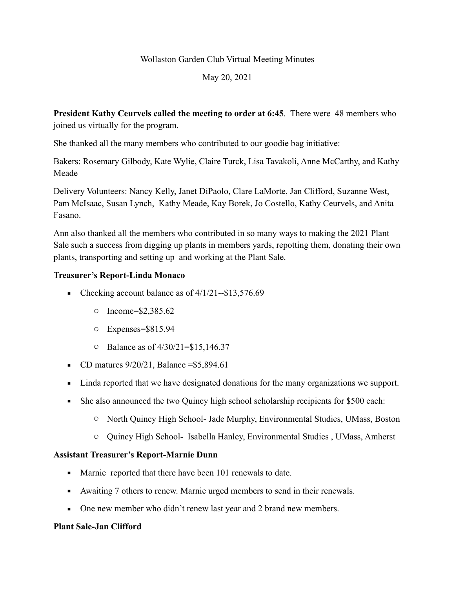# Wollaston Garden Club Virtual Meeting Minutes

# May 20, 2021

**President Kathy Ceurvels called the meeting to order at 6:45**. There were 48 members who joined us virtually for the program.

She thanked all the many members who contributed to our goodie bag initiative:

Bakers: Rosemary Gilbody, Kate Wylie, Claire Turck, Lisa Tavakoli, Anne McCarthy, and Kathy Meade

Delivery Volunteers: Nancy Kelly, Janet DiPaolo, Clare LaMorte, Jan Clifford, Suzanne West, Pam McIsaac, Susan Lynch, Kathy Meade, Kay Borek, Jo Costello, Kathy Ceurvels, and Anita Fasano.

Ann also thanked all the members who contributed in so many ways to making the 2021 Plant Sale such a success from digging up plants in members yards, repotting them, donating their own plants, transporting and setting up and working at the Plant Sale.

## **Treasurer's Report-Linda Monaco**

- Checking account balance as of  $4/1/21 $13,576.69$ 
	- o Income=\$2,385.62
	- o Expenses=\$815.94
	- o Balance as of 4/30/21=\$15,146.37
- CD matures  $9/20/21$ , Balance = \$5,894.61
- Linda reported that we have designated donations for the many organizations we support.
- She also announced the two Quincy high school scholarship recipients for \$500 each:
	- o North Quincy High School- Jade Murphy, Environmental Studies, UMass, Boston
	- o Quincy High School- Isabella Hanley, Environmental Studies , UMass, Amherst

## **Assistant Treasurer's Report-Marnie Dunn**

- Marnie reported that there have been 101 renewals to date.
- Awaiting 7 others to renew. Marnie urged members to send in their renewals.
- One new member who didn't renew last year and 2 brand new members.

## **Plant Sale-Jan Clifford**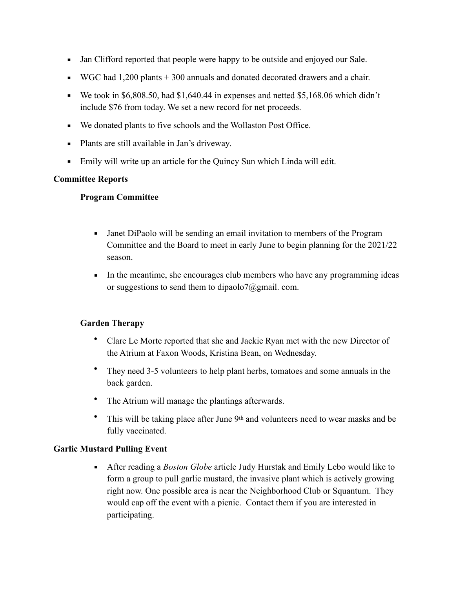- Jan Clifford reported that people were happy to be outside and enjoyed our Sale.
- $\bullet$  WGC had 1,200 plants + 300 annuals and donated decorated drawers and a chair.
- **•** We took in \$6,808.50, had \$1,640.44 in expenses and netted \$5,168.06 which didn't include \$76 from today. We set a new record for net proceeds.
- We donated plants to five schools and the Wollaston Post Office.
- Plants are still available in Jan's driveway.
- Emily will write up an article for the Quincy Sun which Linda will edit.

#### **Committee Reports**

#### **Program Committee**

- Janet DiPaolo will be sending an email invitation to members of the Program Committee and the Board to meet in early June to begin planning for the 2021/22 season.
- In the meantime, she encourages club members who have any programming ideas or suggestions to send them to dipaolo7@gmail. com.

## **Garden Therapy**

- Clare Le Morte reported that she and Jackie Ryan met with the new Director of the Atrium at Faxon Woods, Kristina Bean, on Wednesday.
- They need 3-5 volunteers to help plant herbs, tomatoes and some annuals in the back garden.
- The Atrium will manage the plantings afterwards.
- This will be taking place after June 9<sup>th</sup> and volunteers need to wear masks and be fully vaccinated.

## **Garlic Mustard Pulling Event**

▪ After reading a *Boston Globe* article Judy Hurstak and Emily Lebo would like to form a group to pull garlic mustard, the invasive plant which is actively growing right now. One possible area is near the Neighborhood Club or Squantum. They would cap off the event with a picnic. Contact them if you are interested in participating.